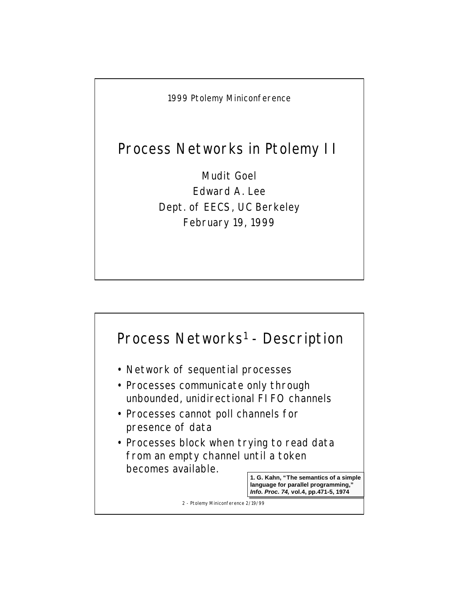1999 Ptolemy Miniconference

## Process Networks in Ptolemy II

Mudit Goel Edward A. Lee Dept. of EECS, UC Berkeley February 19, 1999

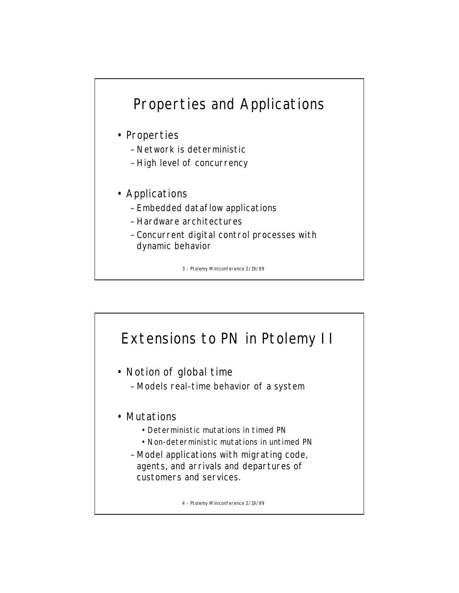## Properties and Applications

- Properties
	- Network is deterministic
	- High level of concurrency
- Applications
	- Embedded dataflow applications
	- Hardware architectures
	- Concurrent digital control processes with dynamic behavior

3 - Ptolemy Miniconference 2/19/99